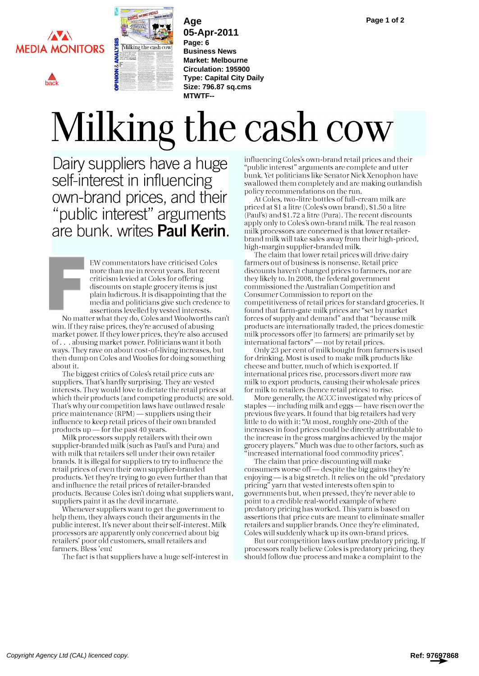

[back](#page--1-0)



**Age 05-Apr-2011 Page: 6 Business News Market: Melbourne Circulation: 195900 Type: Capital City Daily Size: 796.87 sq.cms MTWTF--**

## Milking the cash cow

Dairy suppliers have a huge self-interest in influencing own-brand prices, and their "public interest" arguments are bunk. writes Paul Kerin.

EW commentators have criticised Coles more than me in recent years. But recent criticism levied at Coles for offering discounts on staple grocery items is just plain ludicrous. It is disappointing that the media and politicians give such credence to assertions levelled by vested interests. No matter what they do, Coles and Woolworths can't win. If they raise prices, they're accused of abusing market power. If they lower prices, they're also accused of . . . abusing market power. Politicians want it both ways. They rave on about cost-of-living increases, but then dump on Coles and Woolies for doing something

about it. The biggest critics of Coles's retail price cuts are suppliers. That's hardly surprising. They are vested interests. They would love to dictate the retail prices at which their products (and competing products) are sold. That's why our competition laws have outlawed resale price maintenance  $(RPM)$  - suppliers using their influence to keep retail prices of their own branded products up  $-$  for the past 40 years.

Milk processors supply retailers with their own supplier-branded milk (such as Paul's and Pura) and with milk that retailers sell under their own retailer brands. It is illegal for suppliers to try to influence the retail prices of even their own supplier-branded products. Yet they're trying to go even further than that and influence the retail prices of retailer-branded products. Because Coles isn't doing what suppliers want, suppliers paint it as the devil incarnate.

Whenever suppliers want to get the government to help them, they always couch their arguments in the public interest. It's never about their self-interest. Milk processors are apparently only concerned about big retailers' poor old customers, small retailers and farmers. Bless 'em!

The fact is that suppliers have a huge self-interest in

influencing Coles's own-brand retail prices and their "public interest" arguments are complete and utter bunk. Yet politicians like Senator Nick Xenophon have swallowed them completely and are making outlandish policy recommendations on the run.

At Coles, two-litre bottles of full-cream milk are priced at \$1 a litre (Coles's own brand), \$1.50 a litre (Paul's) and \$1.72 a litre (Pura). The recent discounts apply only to Coles's own-brand milk. The real reason milk processors are concerned is that lower retailerbrand milk will take sales away from their high-priced, high-margin supplier-branded milk.

The claim that lower retail prices will drive dairy farmers out of business is nonsense. Retail price discounts haven't changed prices to farmers, nor are they likely to. In 2008, the federal government commissioned the Australian Competition and Consumer Commission to report on the competitiveness of retail prices for standard groceries. It found that farm-gate milk prices are "set by market forces of supply and demand" and that "because milk products are internationally traded, the prices domestic milk processors offer [to farmers] are primarily set by international factors"  $-$  not by retail prices.  $\overline{\phantom{a}}$ 

Only 23 per cent of milk bought from farmers is used for drinking. Most is used to make milk products like cheese and butter, much of which is exported. If international prices rise, processors divert more raw milk to export products, causing their wholesale prices for milk to retailers (hence retail prices) to rise.

More generally, the ACCC investigated why prices of staples — including milk and eggs — have risen over the previous five years. It found that big retailers had very little to do with it: "At most, roughly one-20th of the increases in food prices could be directly attributable to the increase in the gross margins achieved by the major grocery players." Much was due to other factors, such as "increased international food commodity prices".

The claim that price discounting will make consumers worse off - despite the big gains they're enjoying - is a big stretch. It relies on the old "predatory pricing" yarn that vested interests often spin to governments but, when pressed, they're never able to point to a credible real-world example of where predatory pricing has worked. This yarn is based on assertions that price cuts are meant to eliminate smaller retailers and supplier brands. Once they're eliminated, Coles will suddenly whack up its own-brand prices.

But our competition laws outlaw predatory pricing. If processors really believe Coles is predatory pricing, they should follow due process and make a complaint to the